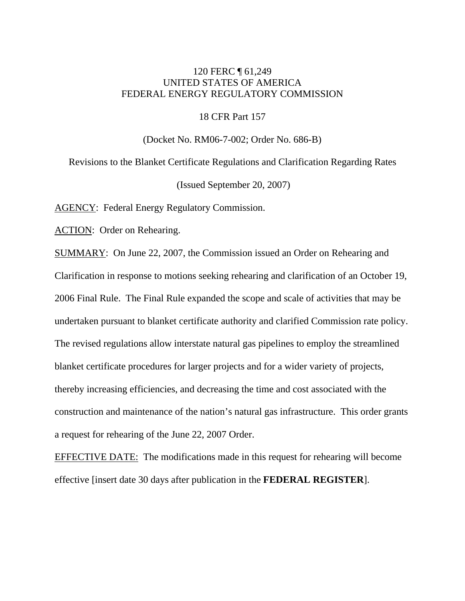# 120 FERC ¶ 61,249 UNITED STATES OF AMERICA FEDERAL ENERGY REGULATORY COMMISSION

18 CFR Part 157

(Docket No. RM06-7-002; Order No. 686-B)

Revisions to the Blanket Certificate Regulations and Clarification Regarding Rates (Issued September 20, 2007)

AGENCY: Federal Energy Regulatory Commission.

ACTION: Order on Rehearing.

SUMMARY: On June 22, 2007, the Commission issued an Order on Rehearing and Clarification in response to motions seeking rehearing and clarification of an October 19, 2006 Final Rule. The Final Rule expanded the scope and scale of activities that may be undertaken pursuant to blanket certificate authority and clarified Commission rate policy. The revised regulations allow interstate natural gas pipelines to employ the streamlined blanket certificate procedures for larger projects and for a wider variety of projects, thereby increasing efficiencies, and decreasing the time and cost associated with the construction and maintenance of the nation's natural gas infrastructure. This order grants a request for rehearing of the June 22, 2007 Order.

EFFECTIVE DATE: The modifications made in this request for rehearing will become effective [insert date 30 days after publication in the **FEDERAL REGISTER**].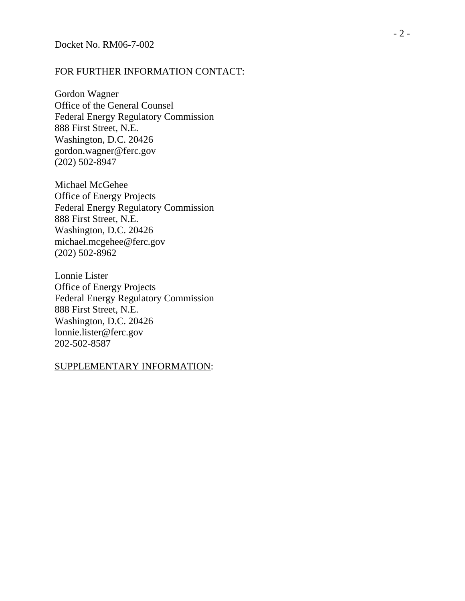#### FOR FURTHER INFORMATION CONTACT:

Gordon Wagner Office of the General Counsel Federal Energy Regulatory Commission 888 First Street, N.E. Washington, D.C. 20426 gordon.wagner@ferc.gov (202) 502-8947

Michael McGehee Office of Energy Projects Federal Energy Regulatory Commission 888 First Street, N.E. Washington, D.C. 20426 michael.mcgehee@ferc.gov (202) 502-8962

Lonnie Lister Office of Energy Projects Federal Energy Regulatory Commission 888 First Street, N.E. Washington, D.C. 20426 lonnie.lister@ferc.gov 202-502-8587

#### SUPPLEMENTARY INFORMATION :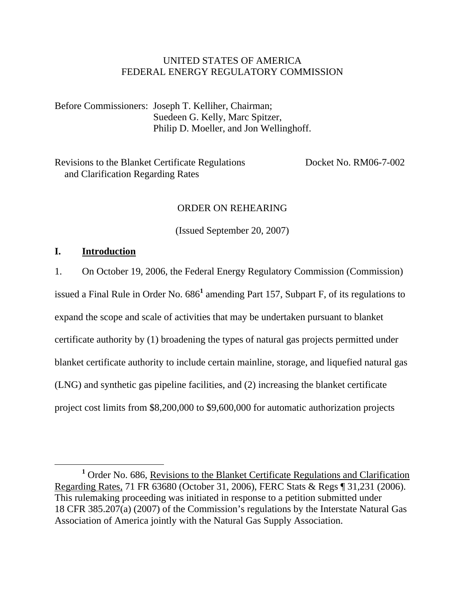# UNITED STATES OF AMERICA FEDERAL ENERGY REGULATORY COMMISSION

Before Commissioners: Joseph T. Kelliher, Chairman; Suedeen G. Kelly, Marc Spitzer, Philip D. Moeller, and Jon Wellinghoff.

Revisions to the Blanket Certificate Regulations Docket No. RM06-7-002 and Clarification Regarding Rates

# ORDER ON REHEARING

(Issued September 20, 2007)

#### **I. Introduction**

1. On October 19, 2006, the Federal Energy Regulatory Commission (Commission) issued a Final Rule in Order No. 686<sup>1</sup> amending Part 157, Subpart F, of its regulations to expand the scope and scale of activities that may be undertaken pursuant to blanket certificate authority by (1) broadening the types of natural gas projects permitted under blanket certificate authority to include certain mainline, storage, and liquefied natural gas (LNG) and synthetic gas pipeline facilities, and (2) increasing the blanket certificate project cost limits from \$8,200,000 to \$9,600,000 for automatic authorization projects

<sup>&</sup>lt;u>1</u> <sup>1</sup> Order No. 686, Revisions to the Blanket Certificate Regulations and Clarification Regarding Rates, 71 FR 63680 (October 31, 2006), FERC Stats & Regs ¶ 31,231 (2006). This rulemaking proceeding was initiated in response to a petition submitted under 18 CFR 385.207(a) (2007) of the Commission's regulations by the Interstate Natural Gas Association of America jointly with the Natural Gas Supply Association.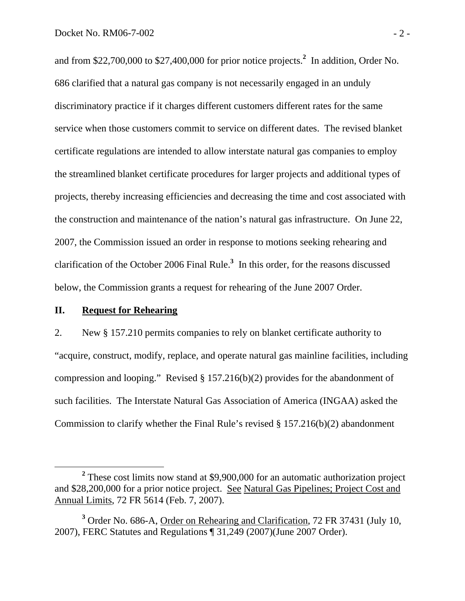and from \$22,700,000 to \$27,400,000 for prior notice projects.**<sup>2</sup>** In addition, Order No. 686 clarified that a natural gas company is not necessarily engaged in an unduly discriminatory practice if it charges different customers different rates for the same service when those customers commit to service on different dates. The revised blanket certificate regulations are intended to allow interstate natural gas companies to employ the streamlined blanket certificate procedures for larger projects and additional types of projects, thereby increasing efficiencies and decreasing the time and cost associated with the construction and maintenance of the nation's natural gas infrastructure. On June 22, 2007, the Commission issued an order in response to motions seeking rehearing and clarification of the October 2006 Final Rule.**<sup>3</sup>** In this order, for the reasons discussed below, the Commission grants a request for rehearing of the June 2007 Order.

#### **II. Request for Rehearing**

2. New § 157.210 permits companies to rely on blanket certificate authority to "acquire, construct, modify, replace, and operate natural gas mainline facilities, including compression and looping." Revised  $\S$  157.216(b)(2) provides for the abandonment of such facilities. The Interstate Natural Gas Association of America (INGAA) asked the Commission to clarify whether the Final Rule's revised § 157.216(b)(2) abandonment

**<sup>2</sup>** <sup>2</sup> These cost limits now stand at \$9,900,000 for an automatic authorization project and \$28,200,000 for a prior notice project. See Natural Gas Pipelines; Project Cost and Annual Limits, 72 FR 5614 (Feb. 7, 2007).

<sup>&</sup>lt;sup>3</sup> Order No. 686-A, <u>Order on Rehearing and Clarification</u>, 72 FR 37431 (July 10, 2007), FERC Statutes and Regulations ¶ 31,249 (2007)(June 2007 Order).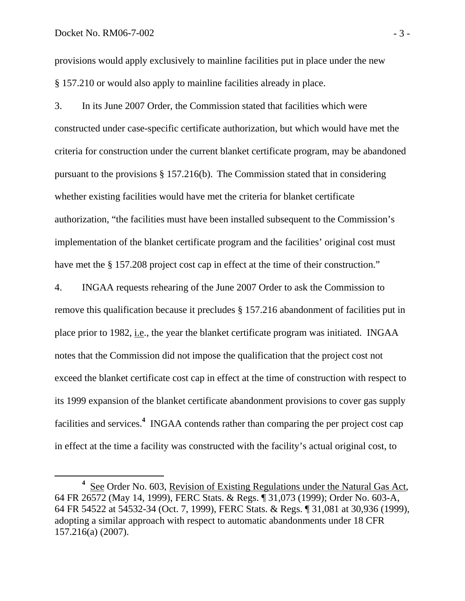provisions would apply exclusively to mainline facilities put in place under the new § 157.210 or would also apply to mainline facilities already in place.

3. In its June 2007 Order, the Commission stated that facilities which were constructed under case-specific certificate authorization, but which would have met the criteria for construction under the current blanket certificate program, may be abandoned pursuant to the provisions § 157.216(b). The Commission stated that in considering whether existing facilities would have met the criteria for blanket certificate authorization, "the facilities must have been installed subsequent to the Commission's implementation of the blanket certificate program and the facilities' original cost must have met the § 157.208 project cost cap in effect at the time of their construction."

4. INGAA requests rehearing of the June 2007 Order to ask the Commission to remove this qualification because it precludes § 157.216 abandonment of facilities put in place prior to 1982, i.e., the year the blanket certificate program was initiated. INGAA notes that the Commission did not impose the qualification that the project cost not exceed the blanket certificate cost cap in effect at the time of construction with respect to its 1999 expansion of the blanket certificate abandonment provisions to cover gas supply facilities and services.<sup>4</sup> INGAA contends rather than comparing the per project cost cap in effect at the time a facility was constructed with the facility's actual original cost, to

**<sup>4</sup>** <sup>4</sup> See Order No. 603, Revision of Existing Regulations under the Natural Gas Act, 64 FR 26572 (May 14, 1999), FERC Stats. & Regs. ¶ 31,073 (1999); Order No. 603-A, 64 FR 54522 at 54532-34 (Oct. 7, 1999), FERC Stats. & Regs. ¶ 31,081 at 30,936 (1999), adopting a similar approach with respect to automatic abandonments under 18 CFR 157.216(a) (2007).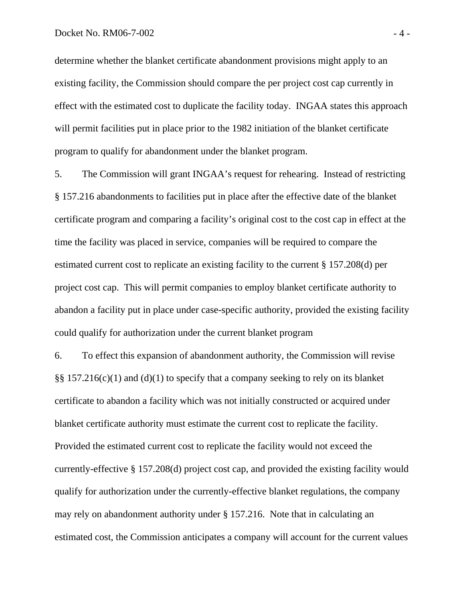determine whether the blanket certificate abandonment provisions might apply to an existing facility, the Commission should compare the per project cost cap currently in effect with the estimated cost to duplicate the facility today. INGAA states this approach will permit facilities put in place prior to the 1982 initiation of the blanket certificate program to qualify for abandonment under the blanket program.

5. The Commission will grant INGAA's request for rehearing. Instead of restricting § 157.216 abandonments to facilities put in place after the effective date of the blanket certificate program and comparing a facility's original cost to the cost cap in effect at the time the facility was placed in service, companies will be required to compare the estimated current cost to replicate an existing facility to the current § 157.208(d) per project cost cap. This will permit companies to employ blanket certificate authority to abandon a facility put in place under case-specific authority, provided the existing facility could qualify for authorization under the current blanket program

6. To effect this expansion of abandonment authority, the Commission will revise §§ 157.216(c)(1) and (d)(1) to specify that a company seeking to rely on its blanket certificate to abandon a facility which was not initially constructed or acquired under blanket certificate authority must estimate the current cost to replicate the facility. Provided the estimated current cost to replicate the facility would not exceed the currently-effective § 157.208(d) project cost cap, and provided the existing facility would qualify for authorization under the currently-effective blanket regulations, the company may rely on abandonment authority under § 157.216. Note that in calculating an estimated cost, the Commission anticipates a company will account for the current values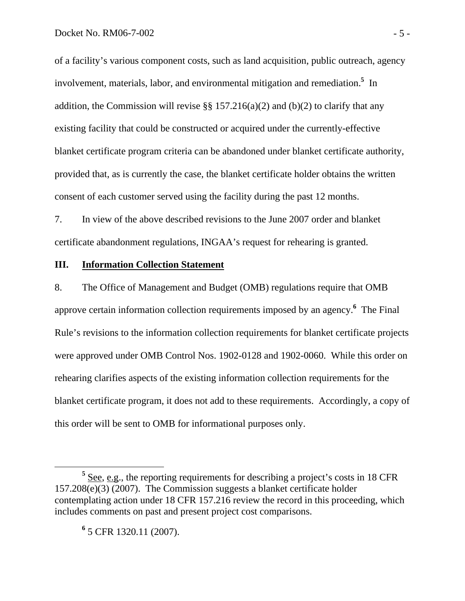of a facility's various component costs, such as land acquisition, public outreach, agency involvement, materials, labor, and environmental mitigation and remediation.**<sup>5</sup>** In addition, the Commission will revise  $\S$   $\S$  157.216(a)(2) and (b)(2) to clarify that any existing facility that could be constructed or acquired under the currently-effective blanket certificate program criteria can be abandoned under blanket certificate authority, provided that, as is currently the case, the blanket certificate holder obtains the written consent of each customer served using the facility during the past 12 months.

7. In view of the above described revisions to the June 2007 order and blanket certificate abandonment regulations, INGAA's request for rehearing is granted.

#### **III. Information Collection Statement**

8. The Office of Management and Budget (OMB) regulations require that OMB approve certain information collection requirements imposed by an agency.**<sup>6</sup>** The Final Rule's revisions to the information collection requirements for blanket certificate projects were approved under OMB Control Nos. 1902-0128 and 1902-0060. While this order on rehearing clarifies aspects of the existing information collection requirements for the blanket certificate program, it does not add to these requirements. Accordingly, a copy of this order will be sent to OMB for informational purposes only.

**6** 5 CFR 1320.11 (2007).

**<sup>5</sup>** See, e.g., the reporting requirements for describing a project's costs in 18 CFR 157.208(e)(3) (2007). The Commission suggests a blanket certificate holder contemplating action under 18 CFR 157.216 review the record in this proceeding, which includes comments on past and present project cost comparisons.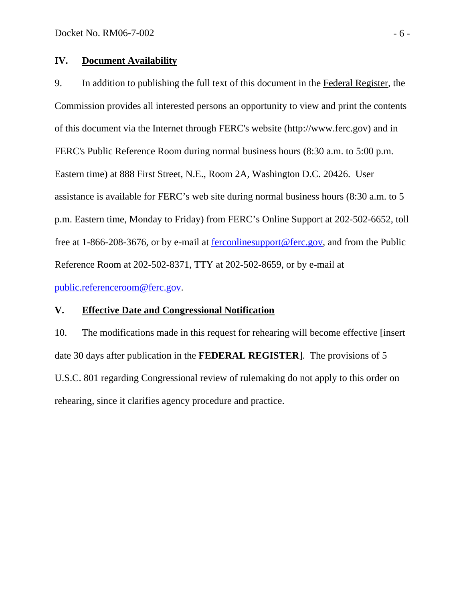# **IV. Document Availability**

9. In addition to publishing the full text of this document in the Federal Register, the Commission provides all interested persons an opportunity to view and print the contents of this document via the Internet through FERC's website (http://www.ferc.gov) and in FERC's Public Reference Room during normal business hours (8:30 a.m. to 5:00 p.m. Eastern time) at 888 First Street, N.E., Room 2A, Washington D.C. 20426. User assistance is available for FERC's web site during normal business hours (8:30 a.m. to 5 p.m. Eastern time, Monday to Friday) from FERC's Online Support at 202-502-6652, toll free at 1-866-208-3676, or by e-mail at ferconlinesupport@ferc.gov, and from the Public Reference Room at 202-502-8371, TTY at 202-502-8659, or by e-mail at public.referenceroom@ferc.gov.

# **V. Effective Date and Congressional Notification**

10. The modifications made in this request for rehearing will become effective [insert date 30 days after publication in the **FEDERAL REGISTER**]. The provisions of 5 U.S.C. 801 regarding Congressional review of rulemaking do not apply to this order on rehearing, since it clarifies agency procedure and practice.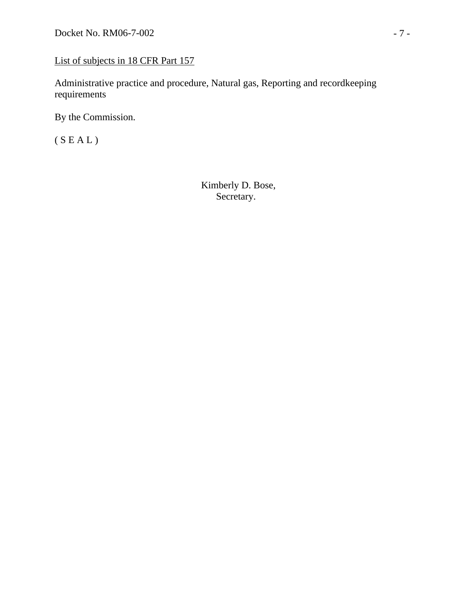# List of subjects in 18 CFR Part 157

Administrative practice and procedure, Natural gas, Reporting and recordkeeping requirements

By the Commission.

(  ${\cal S}$  E A L )

 Kimberly D. Bose, Secretary.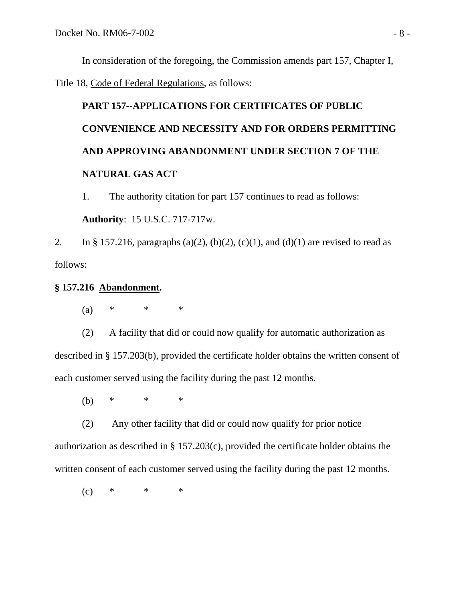In consideration of the foregoing, the Commission amends part 157, Chapter I,

Title 18, Code of Federal Regulations, as follows:

# **PART 157--APPLICATIONS FOR CERTIFICATES OF PUBLIC CONVENIENCE AND NECESSITY AND FOR ORDERS PERMITTING AND APPROVING ABANDONMENT UNDER SECTION 7 OF THE NATURAL GAS ACT**

1. The authority citation for part 157 continues to read as follows: **Authority**: 15 U.S.C. 717-717w.

2. In § 157.216, paragraphs (a)(2), (b)(2), (c)(1), and (d)(1) are revised to read as follows:

# **§ 157.216 Abandonment.**

(a) \* \* \*

(2) A facility that did or could now qualify for automatic authorization as described in § 157.203(b), provided the certificate holder obtains the written consent of each customer served using the facility during the past 12 months.

(b) \* \* \*

(2) Any other facility that did or could now qualify for prior notice authorization as described in § 157.203(c), provided the certificate holder obtains the written consent of each customer served using the facility during the past 12 months.

 $(c)$  \* \* \*